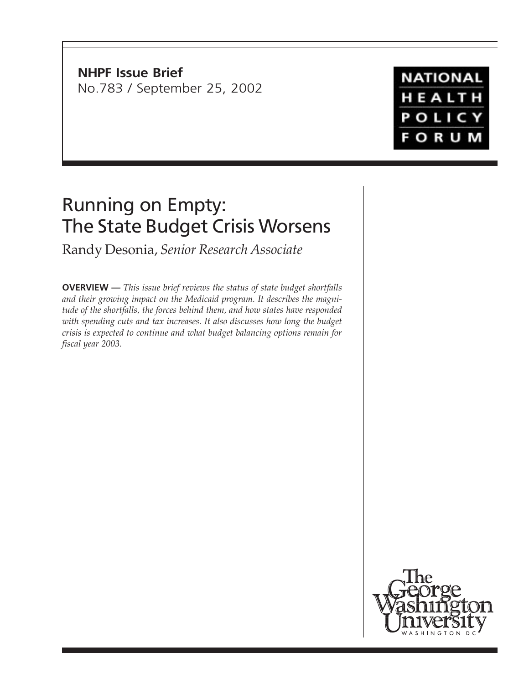**NHPF Issue Brief** No.783 / September 25, 2002

# **NATIONAL** HEALTH POLICY **FORUM**

# Running on Empty: The State Budget Crisis Worsens

Randy Desonia, *Senior Research Associate*

**OVERVIEW —** *This issue brief reviews the status of state budget shortfalls and their growing impact on the Medicaid program. It describes the magnitude of the shortfalls, the forces behind them, and how states have responded with spending cuts and tax increases. It also discusses how long the budget crisis is expected to continue and what budget balancing options remain for fiscal year 2003.*

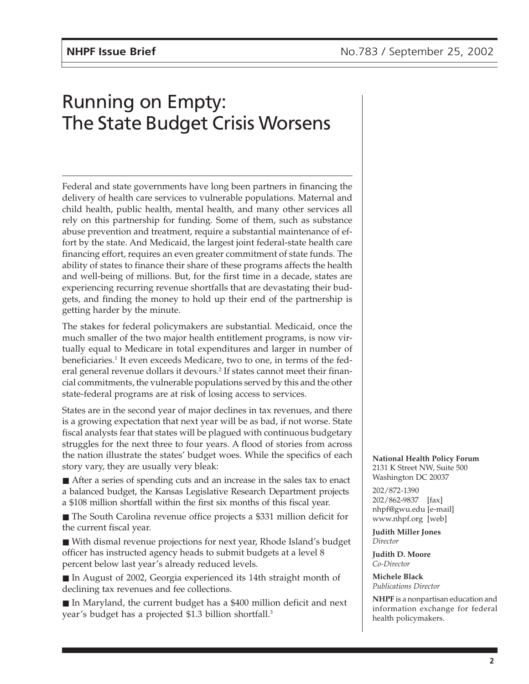# Running on Empty: The State Budget Crisis Worsens

Federal and state governments have long been partners in financing the delivery of health care services to vulnerable populations. Maternal and child health, public health, mental health, and many other services all rely on this partnership for funding. Some of them, such as substance abuse prevention and treatment, require a substantial maintenance of effort by the state. And Medicaid, the largest joint federal-state health care financing effort, requires an even greater commitment of state funds. The ability of states to finance their share of these programs affects the health and well-being of millions. But, for the first time in a decade, states are experiencing recurring revenue shortfalls that are devastating their budgets, and finding the money to hold up their end of the partnership is getting harder by the minute.

The stakes for federal policymakers are substantial. Medicaid, once the much smaller of the two major health entitlement programs, is now virtually equal to Medicare in total expenditures and larger in number of beneficiaries.<sup>1</sup> It even exceeds Medicare, two to one, in terms of the federal general revenue dollars it devours.<sup>2</sup> If states cannot meet their financial commitments, the vulnerable populations served by this and the other state-federal programs are at risk of losing access to services.

States are in the second year of major declines in tax revenues, and there is a growing expectation that next year will be as bad, if not worse. State fiscal analysts fear that states will be plagued with continuous budgetary struggles for the next three to four years. A flood of stories from across the nation illustrate the states' budget woes. While the specifics of each story vary, they are usually very bleak:

■ After a series of spending cuts and an increase in the sales tax to enact a balanced budget, the Kansas Legislative Research Department projects a \$108 million shortfall within the first six months of this fiscal year.

■ The South Carolina revenue office projects a \$331 million deficit for the current fiscal year.

■ With dismal revenue projections for next year, Rhode Island's budget officer has instructed agency heads to submit budgets at a level 8 percent below last year's already reduced levels.

■ In August of 2002, Georgia experienced its 14th straight month of declining tax revenues and fee collections.

■ In Maryland, the current budget has a \$400 million deficit and next year's budget has a projected \$1.3 billion shortfall.3

**National Health Policy Forum** 2131 K Street NW, Suite 500 Washington DC 20037

202/872-1390 202/862-9837 [fax] nhpf@gwu.edu [e-mail] www.nhpf.org [web]

**Judith Miller Jones** *Director*

**Judith D. Moore** *Co-Director*

**Michele Black** *Publications Director*

**NHPF** is a nonpartisan education and information exchange for federal health policymakers.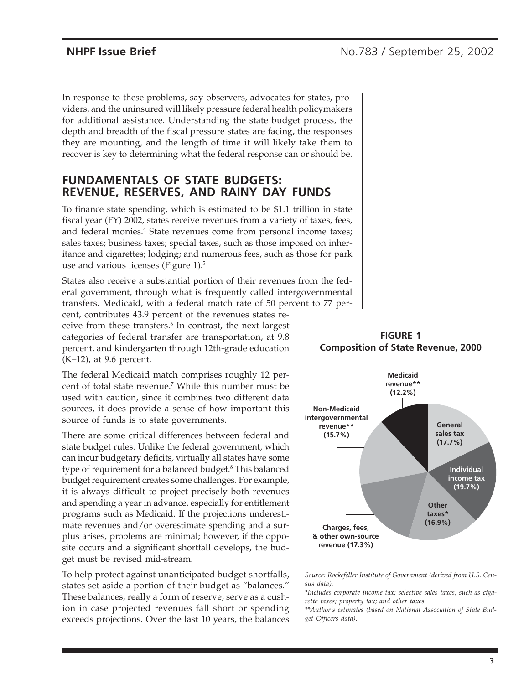In response to these problems, say observers, advocates for states, providers, and the uninsured will likely pressure federal health policymakers for additional assistance. Understanding the state budget process, the depth and breadth of the fiscal pressure states are facing, the responses they are mounting, and the length of time it will likely take them to recover is key to determining what the federal response can or should be.

#### **FUNDAMENTALS OF STATE BUDGETS: REVENUE, RESERVES, AND RAINY DAY FUNDS**

To finance state spending, which is estimated to be \$1.1 trillion in state fiscal year (FY) 2002, states receive revenues from a variety of taxes, fees, and federal monies.<sup>4</sup> State revenues come from personal income taxes; sales taxes; business taxes; special taxes, such as those imposed on inheritance and cigarettes; lodging; and numerous fees, such as those for park use and various licenses (Figure 1).<sup>5</sup>

States also receive a substantial portion of their revenues from the federal government, through what is frequently called intergovernmental transfers. Medicaid, with a federal match rate of 50 percent to 77 per-

cent, contributes 43.9 percent of the revenues states receive from these transfers.6 In contrast, the next largest categories of federal transfer are transportation, at 9.8 percent, and kindergarten through 12th-grade education (K–12), at 9.6 percent.

The federal Medicaid match comprises roughly 12 percent of total state revenue.7 While this number must be used with caution, since it combines two different data sources, it does provide a sense of how important this source of funds is to state governments.

There are some critical differences between federal and state budget rules. Unlike the federal government, which can incur budgetary deficits, virtually all states have some type of requirement for a balanced budget.<sup>8</sup> This balanced budget requirement creates some challenges. For example, it is always difficult to project precisely both revenues and spending a year in advance, especially for entitlement programs such as Medicaid. If the projections underestimate revenues and/or overestimate spending and a surplus arises, problems are minimal; however, if the opposite occurs and a significant shortfall develops, the budget must be revised mid-stream.

To help protect against unanticipated budget shortfalls, states set aside a portion of their budget as "balances." These balances, really a form of reserve, serve as a cushion in case projected revenues fall short or spending exceeds projections. Over the last 10 years, the balances





*Source: Rockefeller Institute of Government (derived from U.S. Census data).*

*\*Includes corporate income tax; selective sales taxes, such as cigarette taxes; property tax; and other taxes.*

*\*\*Author's estimates (based on National Association of State Budget Officers data).*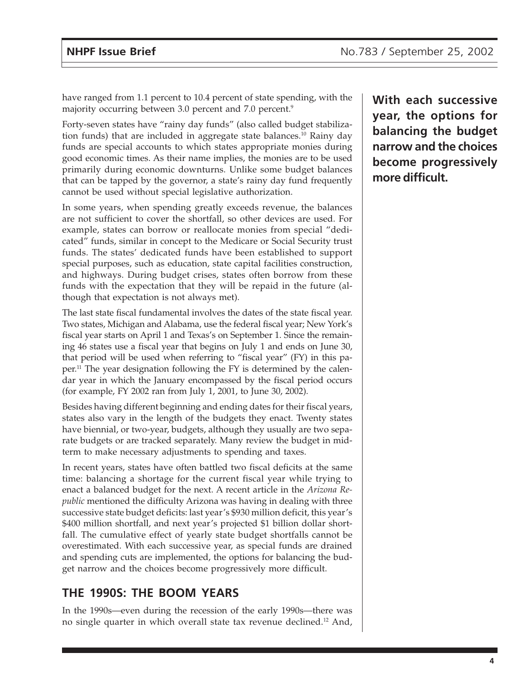have ranged from 1.1 percent to 10.4 percent of state spending, with the majority occurring between 3.0 percent and 7.0 percent.<sup>9</sup>

Forty-seven states have "rainy day funds" (also called budget stabilization funds) that are included in aggregate state balances.<sup>10</sup> Rainy day funds are special accounts to which states appropriate monies during good economic times. As their name implies, the monies are to be used primarily during economic downturns. Unlike some budget balances that can be tapped by the governor, a state's rainy day fund frequently cannot be used without special legislative authorization.

In some years, when spending greatly exceeds revenue, the balances are not sufficient to cover the shortfall, so other devices are used. For example, states can borrow or reallocate monies from special "dedicated" funds, similar in concept to the Medicare or Social Security trust funds. The states' dedicated funds have been established to support special purposes, such as education, state capital facilities construction, and highways. During budget crises, states often borrow from these funds with the expectation that they will be repaid in the future (although that expectation is not always met).

The last state fiscal fundamental involves the dates of the state fiscal year. Two states, Michigan and Alabama, use the federal fiscal year; New York's fiscal year starts on April 1 and Texas's on September 1. Since the remaining 46 states use a fiscal year that begins on July 1 and ends on June 30, that period will be used when referring to "fiscal year" (FY) in this paper.11 The year designation following the FY is determined by the calendar year in which the January encompassed by the fiscal period occurs (for example, FY 2002 ran from July 1, 2001, to June 30, 2002).

Besides having different beginning and ending dates for their fiscal years, states also vary in the length of the budgets they enact. Twenty states have biennial, or two-year, budgets, although they usually are two separate budgets or are tracked separately. Many review the budget in midterm to make necessary adjustments to spending and taxes.

In recent years, states have often battled two fiscal deficits at the same time: balancing a shortage for the current fiscal year while trying to enact a balanced budget for the next. A recent article in the *Arizona Republic* mentioned the difficulty Arizona was having in dealing with three successive state budget deficits: last year's \$930 million deficit, this year's \$400 million shortfall, and next year's projected \$1 billion dollar shortfall. The cumulative effect of yearly state budget shortfalls cannot be overestimated. With each successive year, as special funds are drained and spending cuts are implemented, the options for balancing the budget narrow and the choices become progressively more difficult.

## **THE 1990S: THE BOOM YEARS**

In the 1990s—even during the recession of the early 1990s—there was no single quarter in which overall state tax revenue declined.12 And,

**With each successive year, the options for balancing the budget narrow and the choices become progressively more difficult.**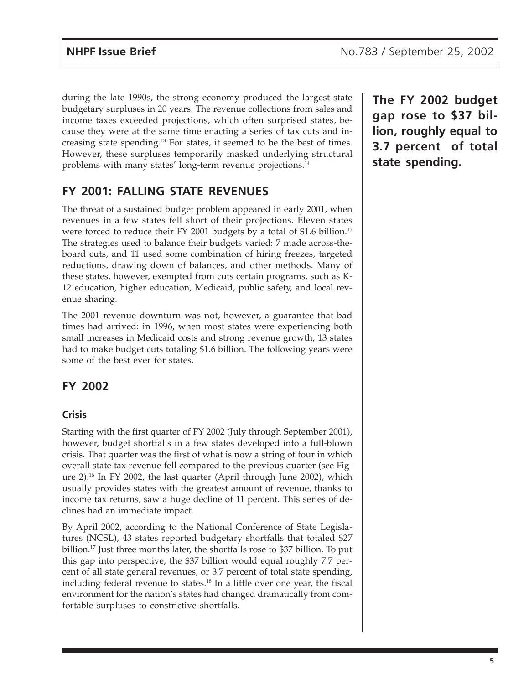during the late 1990s, the strong economy produced the largest state budgetary surpluses in 20 years. The revenue collections from sales and income taxes exceeded projections, which often surprised states, because they were at the same time enacting a series of tax cuts and increasing state spending.13 For states, it seemed to be the best of times. However, these surpluses temporarily masked underlying structural problems with many states' long-term revenue projections.14

# **FY 2001: FALLING STATE REVENUES**

The threat of a sustained budget problem appeared in early 2001, when revenues in a few states fell short of their projections. Eleven states were forced to reduce their FY 2001 budgets by a total of \$1.6 billion.15 The strategies used to balance their budgets varied: 7 made across-theboard cuts, and 11 used some combination of hiring freezes, targeted reductions, drawing down of balances, and other methods. Many of these states, however, exempted from cuts certain programs, such as K-12 education, higher education, Medicaid, public safety, and local revenue sharing.

The 2001 revenue downturn was not, however, a guarantee that bad times had arrived: in 1996, when most states were experiencing both small increases in Medicaid costs and strong revenue growth, 13 states had to make budget cuts totaling \$1.6 billion. The following years were some of the best ever for states.

# **FY 2002**

#### **Crisis**

Starting with the first quarter of FY 2002 (July through September 2001), however, budget shortfalls in a few states developed into a full-blown crisis. That quarter was the first of what is now a string of four in which overall state tax revenue fell compared to the previous quarter (see Figure 2).16 In FY 2002, the last quarter (April through June 2002), which usually provides states with the greatest amount of revenue, thanks to income tax returns, saw a huge decline of 11 percent. This series of declines had an immediate impact.

By April 2002, according to the National Conference of State Legislatures (NCSL), 43 states reported budgetary shortfalls that totaled \$27 billion.17 Just three months later, the shortfalls rose to \$37 billion. To put this gap into perspective, the \$37 billion would equal roughly 7.7 percent of all state general revenues, or 3.7 percent of total state spending, including federal revenue to states.<sup>18</sup> In a little over one year, the fiscal environment for the nation's states had changed dramatically from comfortable surpluses to constrictive shortfalls.

**The FY 2002 budget gap rose to \$37 billion, roughly equal to 3.7 percent of total state spending.**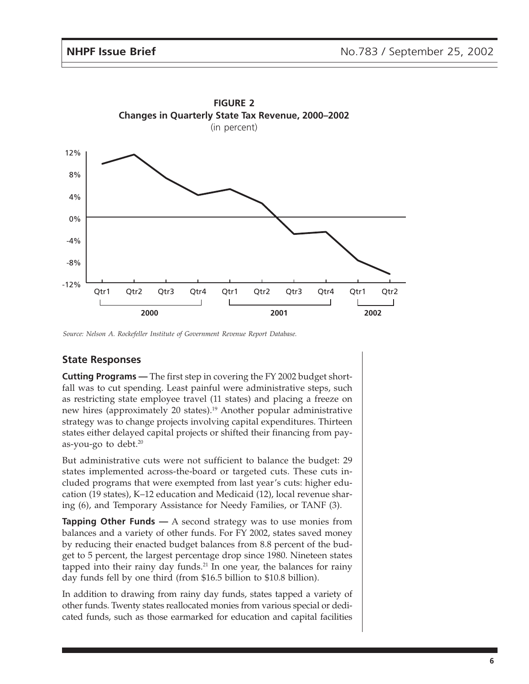

*Source: Nelson A. Rockefeller Institute of Government Revenue Report Database.*

#### **State Responses**

**Cutting Programs —** The first step in covering the FY 2002 budget shortfall was to cut spending. Least painful were administrative steps, such as restricting state employee travel (11 states) and placing a freeze on new hires (approximately 20 states).<sup>19</sup> Another popular administrative strategy was to change projects involving capital expenditures. Thirteen states either delayed capital projects or shifted their financing from payas-you-go to debt. $20$ 

But administrative cuts were not sufficient to balance the budget: 29 states implemented across-the-board or targeted cuts. These cuts included programs that were exempted from last year's cuts: higher education (19 states), K–12 education and Medicaid (12), local revenue sharing (6), and Temporary Assistance for Needy Families, or TANF (3).

**Tapping Other Funds** — A second strategy was to use monies from balances and a variety of other funds. For FY 2002, states saved money by reducing their enacted budget balances from 8.8 percent of the budget to 5 percent, the largest percentage drop since 1980. Nineteen states tapped into their rainy day funds. $21$  In one year, the balances for rainy day funds fell by one third (from \$16.5 billion to \$10.8 billion).

In addition to drawing from rainy day funds, states tapped a variety of other funds. Twenty states reallocated monies from various special or dedicated funds, such as those earmarked for education and capital facilities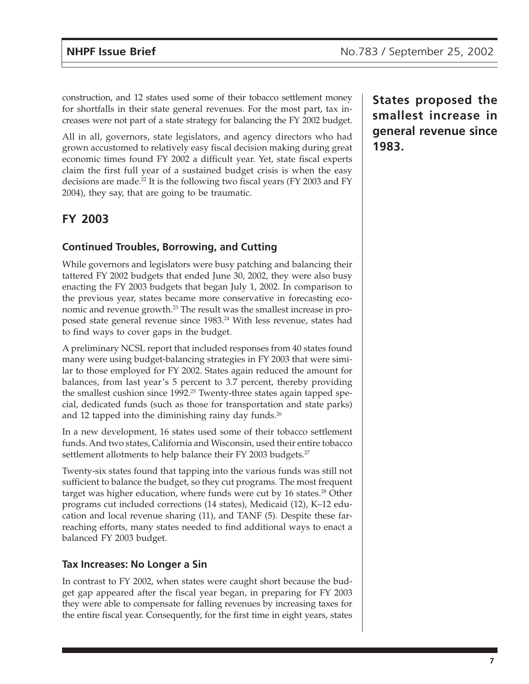construction, and 12 states used some of their tobacco settlement money for shortfalls in their state general revenues. For the most part, tax increases were not part of a state strategy for balancing the FY 2002 budget.

All in all, governors, state legislators, and agency directors who had grown accustomed to relatively easy fiscal decision making during great economic times found FY 2002 a difficult year. Yet, state fiscal experts claim the first full year of a sustained budget crisis is when the easy decisions are made.<sup>22</sup> It is the following two fiscal years (FY 2003 and FY 2004), they say, that are going to be traumatic.

# **FY 2003**

#### **Continued Troubles, Borrowing, and Cutting**

While governors and legislators were busy patching and balancing their tattered FY 2002 budgets that ended June 30, 2002, they were also busy enacting the FY 2003 budgets that began July 1, 2002. In comparison to the previous year, states became more conservative in forecasting economic and revenue growth.23 The result was the smallest increase in proposed state general revenue since 1983.<sup>24</sup> With less revenue, states had to find ways to cover gaps in the budget.

A preliminary NCSL report that included responses from 40 states found many were using budget-balancing strategies in FY 2003 that were similar to those employed for FY 2002. States again reduced the amount for balances, from last year's 5 percent to 3.7 percent, thereby providing the smallest cushion since 1992.<sup>25</sup> Twenty-three states again tapped special, dedicated funds (such as those for transportation and state parks) and 12 tapped into the diminishing rainy day funds.<sup>26</sup>

In a new development, 16 states used some of their tobacco settlement funds. And two states, California and Wisconsin, used their entire tobacco settlement allotments to help balance their FY 2003 budgets.<sup>27</sup>

Twenty-six states found that tapping into the various funds was still not sufficient to balance the budget, so they cut programs. The most frequent target was higher education, where funds were cut by 16 states.<sup>28</sup> Other programs cut included corrections (14 states), Medicaid (12), K–12 education and local revenue sharing (11), and TANF (5). Despite these farreaching efforts, many states needed to find additional ways to enact a balanced FY 2003 budget.

#### **Tax Increases: No Longer a Sin**

In contrast to FY 2002, when states were caught short because the budget gap appeared after the fiscal year began, in preparing for FY 2003 they were able to compensate for falling revenues by increasing taxes for the entire fiscal year. Consequently, for the first time in eight years, states **States proposed the smallest increase in general revenue since 1983.**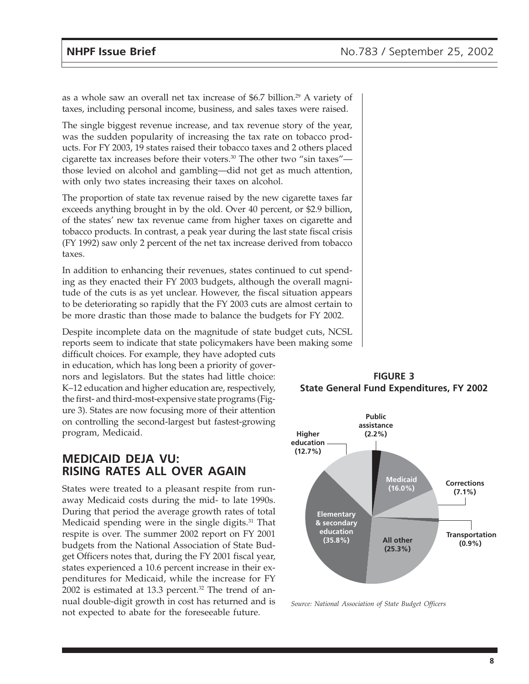as a whole saw an overall net tax increase of \$6.7 billion.<sup>29</sup> A variety of taxes, including personal income, business, and sales taxes were raised.

The single biggest revenue increase, and tax revenue story of the year, was the sudden popularity of increasing the tax rate on tobacco products. For FY 2003, 19 states raised their tobacco taxes and 2 others placed cigarette tax increases before their voters.30 The other two "sin taxes" those levied on alcohol and gambling—did not get as much attention, with only two states increasing their taxes on alcohol.

The proportion of state tax revenue raised by the new cigarette taxes far exceeds anything brought in by the old. Over 40 percent, or \$2.9 billion, of the states' new tax revenue came from higher taxes on cigarette and tobacco products. In contrast, a peak year during the last state fiscal crisis (FY 1992) saw only 2 percent of the net tax increase derived from tobacco taxes.

In addition to enhancing their revenues, states continued to cut spending as they enacted their FY 2003 budgets, although the overall magnitude of the cuts is as yet unclear. However, the fiscal situation appears to be deteriorating so rapidly that the FY 2003 cuts are almost certain to be more drastic than those made to balance the budgets for FY 2002.

Despite incomplete data on the magnitude of state budget cuts, NCSL reports seem to indicate that state policymakers have been making some

difficult choices. For example, they have adopted cuts in education, which has long been a priority of governors and legislators. But the states had little choice: K–12 education and higher education are, respectively, the first- and third-most-expensive state programs (Figure 3). States are now focusing more of their attention on controlling the second-largest but fastest-growing program, Medicaid.

### **MEDICAID DEJA VU: RISING RATES ALL OVER AGAIN**

States were treated to a pleasant respite from runaway Medicaid costs during the mid- to late 1990s. During that period the average growth rates of total Medicaid spending were in the single digits.<sup>31</sup> That respite is over. The summer 2002 report on FY 2001 budgets from the National Association of State Budget Officers notes that, during the FY 2001 fiscal year, states experienced a 10.6 percent increase in their expenditures for Medicaid, while the increase for FY  $2002$  is estimated at 13.3 percent.<sup>32</sup> The trend of annual double-digit growth in cost has returned and is not expected to abate for the foreseeable future.



*Source: National Association of State Budget Officers*

**FIGURE 3 State General Fund Expenditures, FY 2002**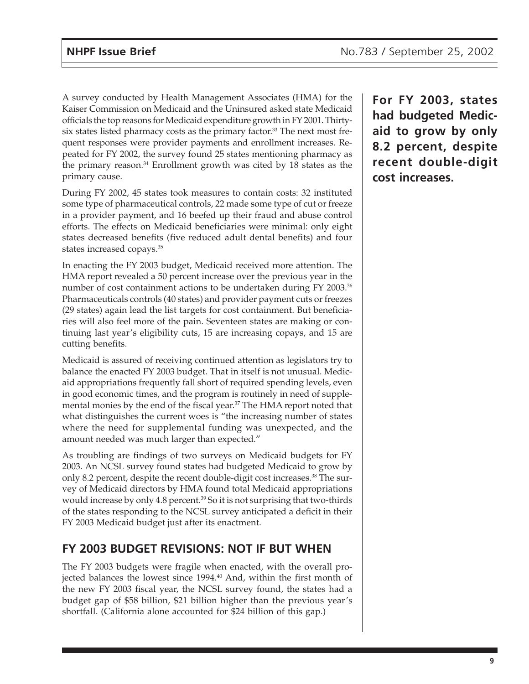A survey conducted by Health Management Associates (HMA) for the Kaiser Commission on Medicaid and the Uninsured asked state Medicaid officials the top reasons for Medicaid expenditure growth in FY 2001. Thirtysix states listed pharmacy costs as the primary factor.<sup>33</sup> The next most frequent responses were provider payments and enrollment increases. Repeated for FY 2002, the survey found 25 states mentioning pharmacy as the primary reason.34 Enrollment growth was cited by 18 states as the primary cause.

During FY 2002, 45 states took measures to contain costs: 32 instituted some type of pharmaceutical controls, 22 made some type of cut or freeze in a provider payment, and 16 beefed up their fraud and abuse control efforts. The effects on Medicaid beneficiaries were minimal: only eight states decreased benefits (five reduced adult dental benefits) and four states increased copays.35

In enacting the FY 2003 budget, Medicaid received more attention. The HMA report revealed a 50 percent increase over the previous year in the number of cost containment actions to be undertaken during FY 2003.<sup>36</sup> Pharmaceuticals controls (40 states) and provider payment cuts or freezes (29 states) again lead the list targets for cost containment. But beneficiaries will also feel more of the pain. Seventeen states are making or continuing last year's eligibility cuts, 15 are increasing copays, and 15 are cutting benefits.

Medicaid is assured of receiving continued attention as legislators try to balance the enacted FY 2003 budget. That in itself is not unusual. Medicaid appropriations frequently fall short of required spending levels, even in good economic times, and the program is routinely in need of supplemental monies by the end of the fiscal year.<sup>37</sup> The HMA report noted that what distinguishes the current woes is "the increasing number of states where the need for supplemental funding was unexpected, and the amount needed was much larger than expected."

As troubling are findings of two surveys on Medicaid budgets for FY 2003. An NCSL survey found states had budgeted Medicaid to grow by only 8.2 percent, despite the recent double-digit cost increases.38 The survey of Medicaid directors by HMA found total Medicaid appropriations would increase by only 4.8 percent.<sup>39</sup> So it is not surprising that two-thirds of the states responding to the NCSL survey anticipated a deficit in their FY 2003 Medicaid budget just after its enactment.

## **FY 2003 BUDGET REVISIONS: NOT IF BUT WHEN**

The FY 2003 budgets were fragile when enacted, with the overall projected balances the lowest since 1994.<sup>40</sup> And, within the first month of the new FY 2003 fiscal year, the NCSL survey found, the states had a budget gap of \$58 billion, \$21 billion higher than the previous year's shortfall. (California alone accounted for \$24 billion of this gap.)

**For FY 2003, states had budgeted Medicaid to grow by only 8.2 percent, despite recent double-digit cost increases.**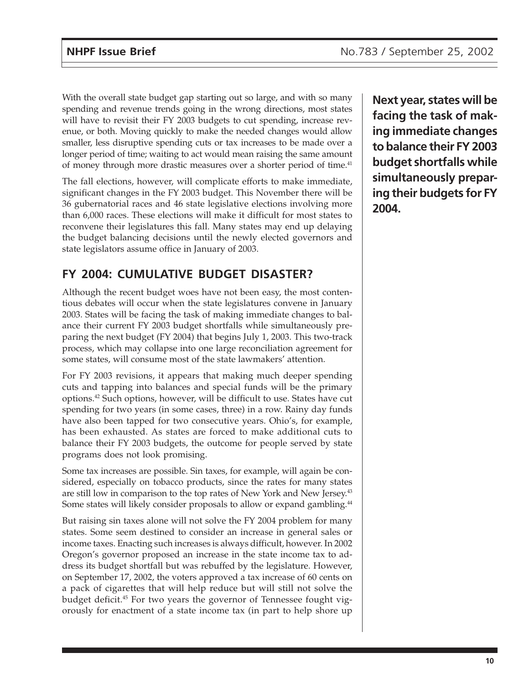With the overall state budget gap starting out so large, and with so many spending and revenue trends going in the wrong directions, most states will have to revisit their FY 2003 budgets to cut spending, increase revenue, or both. Moving quickly to make the needed changes would allow smaller, less disruptive spending cuts or tax increases to be made over a longer period of time; waiting to act would mean raising the same amount of money through more drastic measures over a shorter period of time.<sup>41</sup>

The fall elections, however, will complicate efforts to make immediate, significant changes in the FY 2003 budget. This November there will be 36 gubernatorial races and 46 state legislative elections involving more than 6,000 races. These elections will make it difficult for most states to reconvene their legislatures this fall. Many states may end up delaying the budget balancing decisions until the newly elected governors and state legislators assume office in January of 2003.

# **FY 2004: CUMULATIVE BUDGET DISASTER?**

Although the recent budget woes have not been easy, the most contentious debates will occur when the state legislatures convene in January 2003. States will be facing the task of making immediate changes to balance their current FY 2003 budget shortfalls while simultaneously preparing the next budget (FY 2004) that begins July 1, 2003. This two-track process, which may collapse into one large reconciliation agreement for some states, will consume most of the state lawmakers' attention.

For FY 2003 revisions, it appears that making much deeper spending cuts and tapping into balances and special funds will be the primary options.42 Such options, however, will be difficult to use. States have cut spending for two years (in some cases, three) in a row. Rainy day funds have also been tapped for two consecutive years. Ohio's, for example, has been exhausted. As states are forced to make additional cuts to balance their FY 2003 budgets, the outcome for people served by state programs does not look promising.

Some tax increases are possible. Sin taxes, for example, will again be considered, especially on tobacco products, since the rates for many states are still low in comparison to the top rates of New York and New Jersey.<sup>43</sup> Some states will likely consider proposals to allow or expand gambling.<sup>44</sup>

But raising sin taxes alone will not solve the FY 2004 problem for many states. Some seem destined to consider an increase in general sales or income taxes. Enacting such increases is always difficult, however. In 2002 Oregon's governor proposed an increase in the state income tax to address its budget shortfall but was rebuffed by the legislature. However, on September 17, 2002, the voters approved a tax increase of 60 cents on a pack of cigarettes that will help reduce but will still not solve the budget deficit.45 For two years the governor of Tennessee fought vigorously for enactment of a state income tax (in part to help shore up

**Next year, states will be facing the task of making immediate changes to balance their FY 2003 budget shortfalls while simultaneously preparing their budgets for FY 2004.**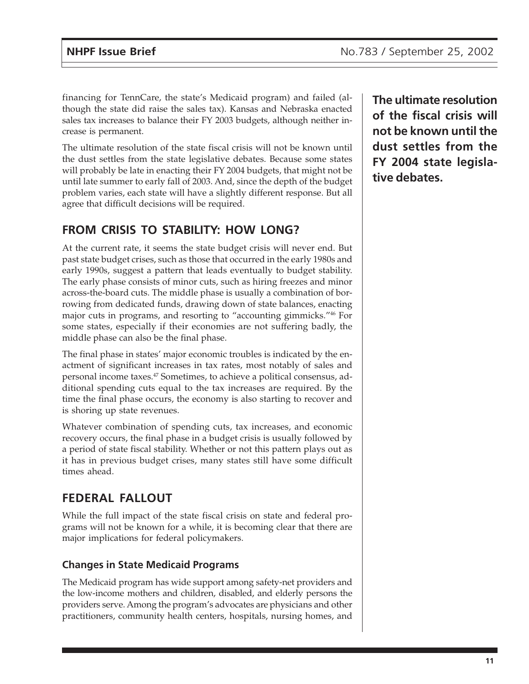financing for TennCare, the state's Medicaid program) and failed (although the state did raise the sales tax). Kansas and Nebraska enacted sales tax increases to balance their FY 2003 budgets, although neither increase is permanent.

The ultimate resolution of the state fiscal crisis will not be known until the dust settles from the state legislative debates. Because some states will probably be late in enacting their FY 2004 budgets, that might not be until late summer to early fall of 2003. And, since the depth of the budget problem varies, each state will have a slightly different response. But all agree that difficult decisions will be required.

# **FROM CRISIS TO STABILITY: HOW LONG?**

At the current rate, it seems the state budget crisis will never end. But past state budget crises, such as those that occurred in the early 1980s and early 1990s, suggest a pattern that leads eventually to budget stability. The early phase consists of minor cuts, such as hiring freezes and minor across-the-board cuts. The middle phase is usually a combination of borrowing from dedicated funds, drawing down of state balances, enacting major cuts in programs, and resorting to "accounting gimmicks."46 For some states, especially if their economies are not suffering badly, the middle phase can also be the final phase.

The final phase in states' major economic troubles is indicated by the enactment of significant increases in tax rates, most notably of sales and personal income taxes.47 Sometimes, to achieve a political consensus, additional spending cuts equal to the tax increases are required. By the time the final phase occurs, the economy is also starting to recover and is shoring up state revenues.

Whatever combination of spending cuts, tax increases, and economic recovery occurs, the final phase in a budget crisis is usually followed by a period of state fiscal stability. Whether or not this pattern plays out as it has in previous budget crises, many states still have some difficult times ahead.

# **FEDERAL FALLOUT**

While the full impact of the state fiscal crisis on state and federal programs will not be known for a while, it is becoming clear that there are major implications for federal policymakers.

#### **Changes in State Medicaid Programs**

The Medicaid program has wide support among safety-net providers and the low-income mothers and children, disabled, and elderly persons the providers serve. Among the program's advocates are physicians and other practitioners, community health centers, hospitals, nursing homes, and **The ultimate resolution of the fiscal crisis will not be known until the dust settles from the FY 2004 state legislative debates.**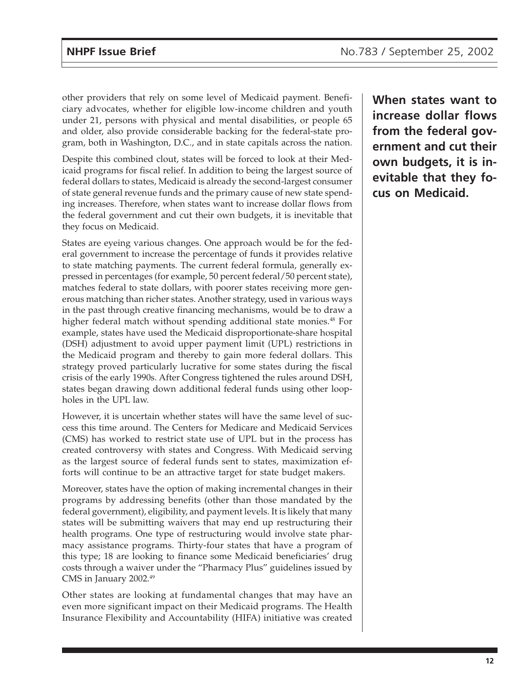other providers that rely on some level of Medicaid payment. Beneficiary advocates, whether for eligible low-income children and youth under 21, persons with physical and mental disabilities, or people 65 and older, also provide considerable backing for the federal-state program, both in Washington, D.C., and in state capitals across the nation.

Despite this combined clout, states will be forced to look at their Medicaid programs for fiscal relief. In addition to being the largest source of federal dollars to states, Medicaid is already the second-largest consumer of state general revenue funds and the primary cause of new state spending increases. Therefore, when states want to increase dollar flows from the federal government and cut their own budgets, it is inevitable that they focus on Medicaid.

States are eyeing various changes. One approach would be for the federal government to increase the percentage of funds it provides relative to state matching payments. The current federal formula, generally expressed in percentages (for example, 50 percent federal/50 percent state), matches federal to state dollars, with poorer states receiving more generous matching than richer states. Another strategy, used in various ways in the past through creative financing mechanisms, would be to draw a higher federal match without spending additional state monies.<sup>48</sup> For example, states have used the Medicaid disproportionate-share hospital (DSH) adjustment to avoid upper payment limit (UPL) restrictions in the Medicaid program and thereby to gain more federal dollars. This strategy proved particularly lucrative for some states during the fiscal crisis of the early 1990s. After Congress tightened the rules around DSH, states began drawing down additional federal funds using other loopholes in the UPL law.

However, it is uncertain whether states will have the same level of success this time around. The Centers for Medicare and Medicaid Services (CMS) has worked to restrict state use of UPL but in the process has created controversy with states and Congress. With Medicaid serving as the largest source of federal funds sent to states, maximization efforts will continue to be an attractive target for state budget makers.

Moreover, states have the option of making incremental changes in their programs by addressing benefits (other than those mandated by the federal government), eligibility, and payment levels. It is likely that many states will be submitting waivers that may end up restructuring their health programs. One type of restructuring would involve state pharmacy assistance programs. Thirty-four states that have a program of this type; 18 are looking to finance some Medicaid beneficiaries' drug costs through a waiver under the "Pharmacy Plus" guidelines issued by CMS in January 2002.49

Other states are looking at fundamental changes that may have an even more significant impact on their Medicaid programs. The Health Insurance Flexibility and Accountability (HIFA) initiative was created **When states want to increase dollar flows from the federal government and cut their own budgets, it is inevitable that they focus on Medicaid.**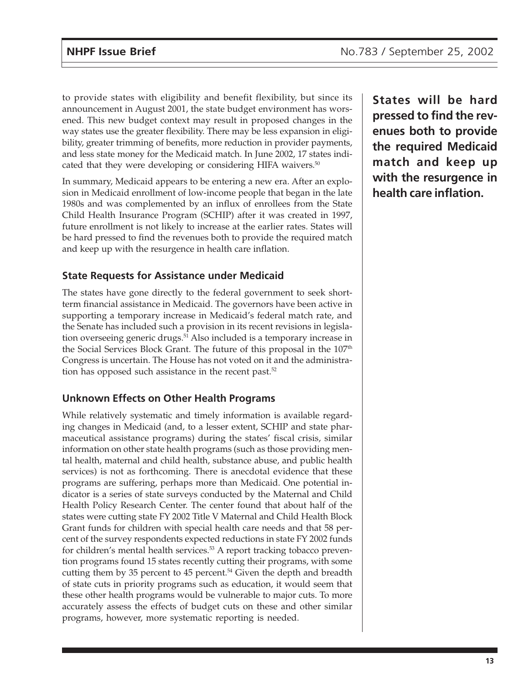to provide states with eligibility and benefit flexibility, but since its announcement in August 2001, the state budget environment has worsened. This new budget context may result in proposed changes in the way states use the greater flexibility. There may be less expansion in eligibility, greater trimming of benefits, more reduction in provider payments, and less state money for the Medicaid match. In June 2002, 17 states indicated that they were developing or considering HIFA waivers.<sup>50</sup>

In summary, Medicaid appears to be entering a new era. After an explosion in Medicaid enrollment of low-income people that began in the late 1980s and was complemented by an influx of enrollees from the State Child Health Insurance Program (SCHIP) after it was created in 1997, future enrollment is not likely to increase at the earlier rates. States will be hard pressed to find the revenues both to provide the required match and keep up with the resurgence in health care inflation.

#### **State Requests for Assistance under Medicaid**

The states have gone directly to the federal government to seek shortterm financial assistance in Medicaid. The governors have been active in supporting a temporary increase in Medicaid's federal match rate, and the Senate has included such a provision in its recent revisions in legislation overseeing generic drugs.<sup>51</sup> Also included is a temporary increase in the Social Services Block Grant. The future of this proposal in the 107<sup>th</sup> Congress is uncertain. The House has not voted on it and the administration has opposed such assistance in the recent past.<sup>52</sup>

#### **Unknown Effects on Other Health Programs**

While relatively systematic and timely information is available regarding changes in Medicaid (and, to a lesser extent, SCHIP and state pharmaceutical assistance programs) during the states' fiscal crisis, similar information on other state health programs (such as those providing mental health, maternal and child health, substance abuse, and public health services) is not as forthcoming. There is anecdotal evidence that these programs are suffering, perhaps more than Medicaid. One potential indicator is a series of state surveys conducted by the Maternal and Child Health Policy Research Center. The center found that about half of the states were cutting state FY 2002 Title V Maternal and Child Health Block Grant funds for children with special health care needs and that 58 percent of the survey respondents expected reductions in state FY 2002 funds for children's mental health services.<sup>53</sup> A report tracking tobacco prevention programs found 15 states recently cutting their programs, with some cutting them by 35 percent to 45 percent.<sup>54</sup> Given the depth and breadth of state cuts in priority programs such as education, it would seem that these other health programs would be vulnerable to major cuts. To more accurately assess the effects of budget cuts on these and other similar programs, however, more systematic reporting is needed.

**States will be hard pressed to find the revenues both to provide the required Medicaid match and keep up with the resurgence in health care inflation.**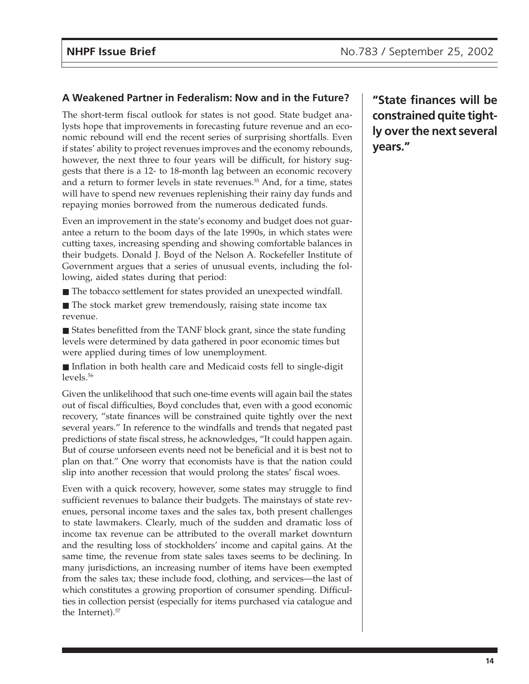#### **A Weakened Partner in Federalism: Now and in the Future?**

The short-term fiscal outlook for states is not good. State budget analysts hope that improvements in forecasting future revenue and an economic rebound will end the recent series of surprising shortfalls. Even if states' ability to project revenues improves and the economy rebounds, however, the next three to four years will be difficult, for history suggests that there is a 12- to 18-month lag between an economic recovery and a return to former levels in state revenues.<sup>55</sup> And, for a time, states will have to spend new revenues replenishing their rainy day funds and repaying monies borrowed from the numerous dedicated funds.

Even an improvement in the state's economy and budget does not guarantee a return to the boom days of the late 1990s, in which states were cutting taxes, increasing spending and showing comfortable balances in their budgets. Donald J. Boyd of the Nelson A. Rockefeller Institute of Government argues that a series of unusual events, including the following, aided states during that period:

- The tobacco settlement for states provided an unexpected windfall.
- The stock market grew tremendously, raising state income tax revenue.
- States benefitted from the TANF block grant, since the state funding levels were determined by data gathered in poor economic times but were applied during times of low unemployment.
- Inflation in both health care and Medicaid costs fell to single-digit levels.56

Given the unlikelihood that such one-time events will again bail the states out of fiscal difficulties, Boyd concludes that, even with a good economic recovery, "state finances will be constrained quite tightly over the next several years." In reference to the windfalls and trends that negated past predictions of state fiscal stress, he acknowledges, "It could happen again. But of course unforseen events need not be beneficial and it is best not to plan on that." One worry that economists have is that the nation could slip into another recession that would prolong the states' fiscal woes.

Even with a quick recovery, however, some states may struggle to find sufficient revenues to balance their budgets. The mainstays of state revenues, personal income taxes and the sales tax, both present challenges to state lawmakers. Clearly, much of the sudden and dramatic loss of income tax revenue can be attributed to the overall market downturn and the resulting loss of stockholders' income and capital gains. At the same time, the revenue from state sales taxes seems to be declining. In many jurisdictions, an increasing number of items have been exempted from the sales tax; these include food, clothing, and services—the last of which constitutes a growing proportion of consumer spending. Difficulties in collection persist (especially for items purchased via catalogue and the Internet).<sup>57</sup>

**"State finances will be constrained quite tightly over the next several years."**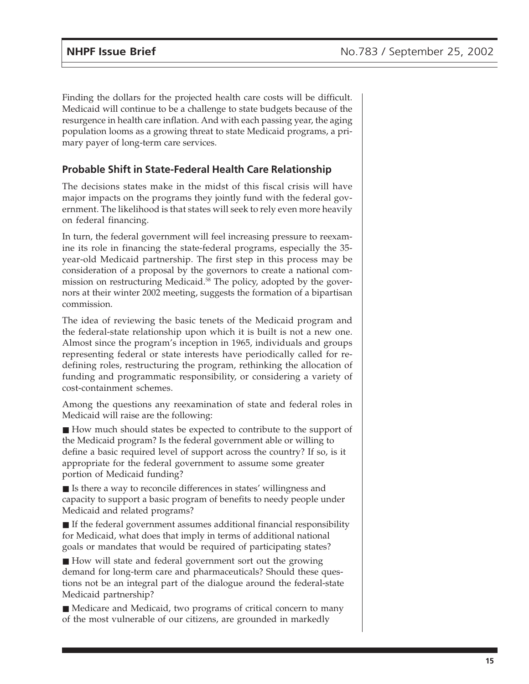Finding the dollars for the projected health care costs will be difficult. Medicaid will continue to be a challenge to state budgets because of the resurgence in health care inflation. And with each passing year, the aging population looms as a growing threat to state Medicaid programs, a primary payer of long-term care services.

#### **Probable Shift in State-Federal Health Care Relationship**

The decisions states make in the midst of this fiscal crisis will have major impacts on the programs they jointly fund with the federal government. The likelihood is that states will seek to rely even more heavily on federal financing.

In turn, the federal government will feel increasing pressure to reexamine its role in financing the state-federal programs, especially the 35 year-old Medicaid partnership. The first step in this process may be consideration of a proposal by the governors to create a national commission on restructuring Medicaid.<sup>58</sup> The policy, adopted by the governors at their winter 2002 meeting, suggests the formation of a bipartisan commission.

The idea of reviewing the basic tenets of the Medicaid program and the federal-state relationship upon which it is built is not a new one. Almost since the program's inception in 1965, individuals and groups representing federal or state interests have periodically called for redefining roles, restructuring the program, rethinking the allocation of funding and programmatic responsibility, or considering a variety of cost-containment schemes.

Among the questions any reexamination of state and federal roles in Medicaid will raise are the following:

■ How much should states be expected to contribute to the support of the Medicaid program? Is the federal government able or willing to define a basic required level of support across the country? If so, is it appropriate for the federal government to assume some greater portion of Medicaid funding?

■ Is there a way to reconcile differences in states' willingness and capacity to support a basic program of benefits to needy people under Medicaid and related programs?

■ If the federal government assumes additional financial responsibility for Medicaid, what does that imply in terms of additional national goals or mandates that would be required of participating states?

■ How will state and federal government sort out the growing demand for long-term care and pharmaceuticals? Should these questions not be an integral part of the dialogue around the federal-state Medicaid partnership?

■ Medicare and Medicaid, two programs of critical concern to many of the most vulnerable of our citizens, are grounded in markedly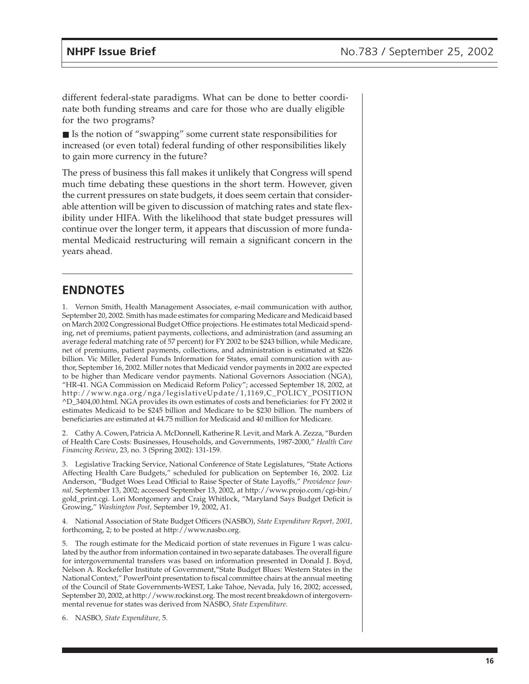different federal-state paradigms. What can be done to better coordinate both funding streams and care for those who are dually eligible for the two programs?

■ Is the notion of "swapping" some current state responsibilities for increased (or even total) federal funding of other responsibilities likely to gain more currency in the future?

The press of business this fall makes it unlikely that Congress will spend much time debating these questions in the short term. However, given the current pressures on state budgets, it does seem certain that considerable attention will be given to discussion of matching rates and state flexibility under HIFA. With the likelihood that state budget pressures will continue over the longer term, it appears that discussion of more fundamental Medicaid restructuring will remain a significant concern in the years ahead.

### **ENDNOTES**

1. Vernon Smith, Health Management Associates, e-mail communication with author, September 20, 2002. Smith has made estimates for comparing Medicare and Medicaid based on March 2002 Congressional Budget Office projections. He estimates total Medicaid spending, net of premiums, patient payments, collections, and administration (and assuming an average federal matching rate of 57 percent) for FY 2002 to be \$243 billion, while Medicare, net of premiums, patient payments, collections, and administration is estimated at \$226 billion. Vic Miller, Federal Funds Information for States, email communication with author, September 16, 2002. Miller notes that Medicaid vendor payments in 2002 are expected to be higher than Medicare vendor payments. National Governors Association (NGA), "HR-41. NGA Commission on Medicaid Reform Policy"; accessed September 18, 2002, at http://www.nga.org/nga/legislativeUpdate/1,1169,C\_POLICY\_POSITION ^D\_3404,00.html. NGA provides its own estimates of costs and beneficiaries: for FY 2002 it estimates Medicaid to be \$245 billion and Medicare to be \$230 billion. The numbers of beneficiaries are estimated at 44.75 million for Medicaid and 40 million for Medicare.

2. Cathy A. Cowen, Patricia A. McDonnell, Katherine R. Levit, and Mark A. Zezza, "Burden of Health Care Costs: Businesses, Households, and Governments, 1987-2000," *Health Care Financing Review*, 23, no. 3 (Spring 2002): 131-159.

3. Legislative Tracking Service, National Conference of State Legislatures, "State Actions Affecting Health Care Budgets," scheduled for publication on September 16, 2002. Liz Anderson, "Budget Woes Lead Official to Raise Specter of State Layoffs," *Providence Journal,* September 13, 2002; accessed September 13, 2002, at http://www.projo.com/cgi-bin/ gold\_print.cgi. Lori Montgomery and Craig Whitlock, "Maryland Says Budget Deficit is Growing," *Washington Post,* September 19, 2002, A1.

4. National Association of State Budget Officers (NASBO), *State Expenditure Report, 2001,* forthcoming, 2; to be posted at http://www.nasbo.org.

5. The rough estimate for the Medicaid portion of state revenues in Figure 1 was calculated by the author from information contained in two separate databases. The overall figure for intergovernmental transfers was based on information presented in Donald J. Boyd, Nelson A. Rockefeller Institute of Government,"State Budget Blues: Western States in the National Context," PowerPoint presentation to fiscal committee chairs at the annual meeting of the Council of State Governments-WEST, Lake Tahoe, Nevada, July 16, 2002; accessed, September 20, 2002, at http://www.rockinst.org. The most recent breakdown of intergovernmental revenue for states was derived from NASBO, *State Expenditure*.

6. NASBO, *State Expenditure,* 5.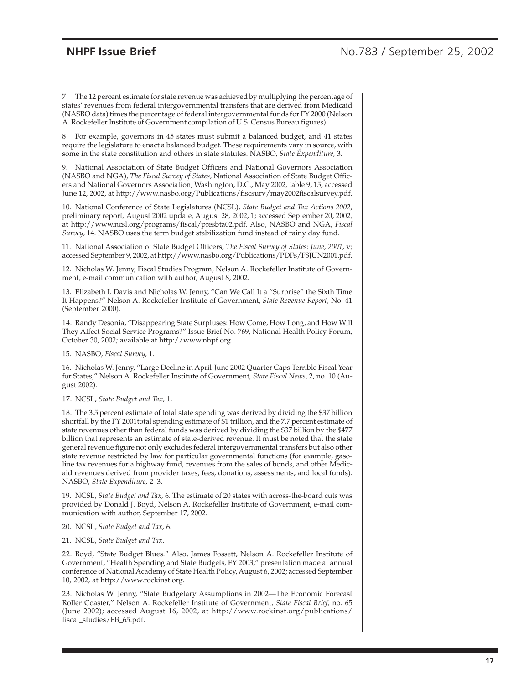7. The 12 percent estimate for state revenue was achieved by multiplying the percentage of states' revenues from federal intergovernmental transfers that are derived from Medicaid (NASBO data) times the percentage of federal intergovernmental funds for FY 2000 (Nelson A. Rockefeller Institute of Government compilation of U.S. Census Bureau figures).

8. For example, governors in 45 states must submit a balanced budget, and 41 states require the legislature to enact a balanced budget. These requirements vary in source, with some in the state constitution and others in state statutes. NASBO, *State Expenditure,* 3.

9. National Association of State Budget Officers and National Governors Association (NASBO and NGA), *The Fiscal Survey of States,* National Association of State Budget Officers and National Governors Association, Washington, D.C., May 2002, table 9, 15; accessed June 12, 2002, at http://www.nasbo.org/Publications/fiscsurv/may2002fiscalsurvey.pdf.

10. National Conference of State Legislatures (NCSL), *State Budget and Tax Actions 2002*, preliminary report, August 2002 update, August 28, 2002, 1; accessed September 20, 2002, at http://www.ncsl.org/programs/fiscal/presbta02.pdf. Also, NASBO and NGA, *Fiscal Survey,* 14. NASBO uses the term budget stabilization fund instead of rainy day fund.

11. National Association of State Budget Officers, *The Fiscal Survey of States: June, 2001,* v; accessed September 9, 2002, at http://www.nasbo.org/Publications/PDFs/FSJUN2001.pdf.

12. Nicholas W. Jenny, Fiscal Studies Program, Nelson A. Rockefeller Institute of Government, e-mail communication with author, August 8, 2002.

13. Elizabeth I. Davis and Nicholas W. Jenny, "Can We Call It a "Surprise" the Sixth Time It Happens?" Nelson A. Rockefeller Institute of Government, *State Revenue Report,* No. 41 (September 2000).

14. Randy Desonia, "Disappearing State Surpluses: How Come, How Long, and How Will They Affect Social Service Programs?" Issue Brief No. 769, National Health Policy Forum, October 30, 2002; available at http://www.nhpf.org.

15. NASBO, *Fiscal Survey,* 1.

16. Nicholas W. Jenny, "Large Decline in April-June 2002 Quarter Caps Terrible Fiscal Year for States," Nelson A. Rockefeller Institute of Government, *State Fiscal News*, 2, no. 10 (August 2002).

17. NCSL, *State Budget and Tax,* 1.

18. The 3.5 percent estimate of total state spending was derived by dividing the \$37 billion shortfall by the FY 2001total spending estimate of \$1 trillion, and the 7.7 percent estimate of state revenues other than federal funds was derived by dividing the \$37 billion by the \$477 billion that represents an estimate of state-derived revenue. It must be noted that the state general revenue figure not only excludes federal intergovernmental transfers but also other state revenue restricted by law for particular governmental functions (for example, gasoline tax revenues for a highway fund, revenues from the sales of bonds, and other Medicaid revenues derived from provider taxes, fees, donations, assessments, and local funds). NASBO, *State Expenditure,* 2–3.

19. NCSL, *State Budget and Tax,* 6. The estimate of 20 states with across-the-board cuts was provided by Donald J. Boyd, Nelson A. Rockefeller Institute of Government, e-mail communication with author, September 17, 2002.

20. NCSL, *State Budget and Tax,* 6.

21. NCSL, *State Budget and Tax*.

22. Boyd, "State Budget Blues." Also, James Fossett, Nelson A. Rockefeller Institute of Government, "Health Spending and State Budgets, FY 2003," presentation made at annual conference of National Academy of State Health Policy, August 6, 2002; accessed September 10, 2002, at http://www.rockinst.org.

23. Nicholas W. Jenny, "State Budgetary Assumptions in 2002—The Economic Forecast Roller Coaster," Nelson A. Rockefeller Institute of Government, *State Fiscal Brief,* no. 65 (June 2002); accessed August 16, 2002, at http://www.rockinst.org/publications/ fiscal\_studies/FB\_65.pdf.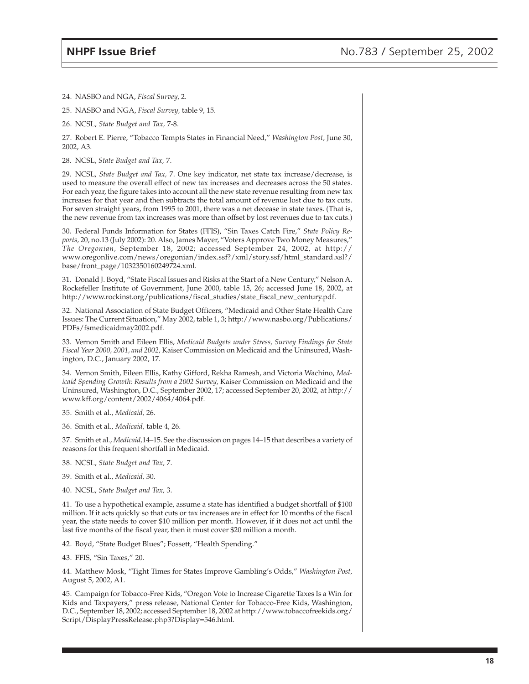24. NASBO and NGA, *Fiscal Survey,* 2.

25. NASBO and NGA, *Fiscal Survey,* table 9, 15.

26. NCSL, *State Budget and Tax,* 7-8.

27. Robert E. Pierre, "Tobacco Tempts States in Financial Need," *Washington Post,* June 30, 2002, A3.

28. NCSL, *State Budget and Tax,* 7.

29. NCSL, *State Budget and Tax,* 7. One key indicator, net state tax increase/decrease, is used to measure the overall effect of new tax increases and decreases across the 50 states. For each year, the figure takes into account all the new state revenue resulting from new tax increases for that year and then subtracts the total amount of revenue lost due to tax cuts. For seven straight years, from 1995 to 2001, there was a net decease in state taxes. (That is, the new revenue from tax increases was more than offset by lost revenues due to tax cuts.)

30. Federal Funds Information for States (FFIS), "Sin Taxes Catch Fire," *State Policy Reports,* 20, no.13 (July 2002): 20. Also, James Mayer, "Voters Approve Two Money Measures," *The Oregonian,* September 18, 2002; accessed September 24, 2002, at http:// www.oregonlive.com/news/oregonian/index.ssf?/xml/story.ssf/html\_standard.xsl?/ base/front\_page/1032350160249724.xml.

31. Donald J. Boyd, "State Fiscal Issues and Risks at the Start of a New Century," Nelson A. Rockefeller Institute of Government, June 2000, table 15, 26; accessed June 18, 2002, at http://www.rockinst.org/publications/fiscal\_studies/state\_fiscal\_new\_century.pdf.

32. National Association of State Budget Officers, "Medicaid and Other State Health Care Issues: The Current Situation," May 2002, table 1, 3; http://www.nasbo.org/Publications/ PDFs/fsmedicaidmay2002.pdf.

33. Vernon Smith and Eileen Ellis, *Medicaid Budgets under Stress, Survey Findings for State Fiscal Year 2000, 2001, and 2002,* Kaiser Commission on Medicaid and the Uninsured, Washington, D.C., January 2002, 17.

34. Vernon Smith, Eileen Ellis, Kathy Gifford, Rekha Ramesh, and Victoria Wachino, *Medicaid Spending Growth: Results from a 2002 Survey,* Kaiser Commission on Medicaid and the Uninsured, Washington, D.C., September 2002, 17; accessed September 20, 2002, at http:// www.kff.org/content/2002/4064/4064.pdf.

35. Smith et al., *Medicaid,* 26.

36. Smith et al., *Medicaid,* table 4, 26.

37. Smith et al., *Medicaid,*14–15. See the discussion on pages 14–15 that describes a variety of reasons for this frequent shortfall in Medicaid.

38. NCSL, *State Budget and Tax,* 7.

39. Smith et al., *Medicaid,* 30.

40. NCSL, *State Budget and Tax,* 3.

41. To use a hypothetical example, assume a state has identified a budget shortfall of \$100 million. If it acts quickly so that cuts or tax increases are in effect for 10 months of the fiscal year, the state needs to cover \$10 million per month. However, if it does not act until the last five months of the fiscal year, then it must cover \$20 million a month.

42. Boyd, "State Budget Blues"; Fossett, "Health Spending."

43. FFIS, "Sin Taxes," 20.

44. Matthew Mosk, "Tight Times for States Improve Gambling's Odds," *Washington Post,* August 5, 2002, A1.

45. Campaign for Tobacco-Free Kids, "Oregon Vote to Increase Cigarette Taxes Is a Win for Kids and Taxpayers," press release, National Center for Tobacco-Free Kids, Washington, D.C., September 18, 2002; accessed September 18, 2002 at http://www.tobaccofreekids.org/ Script/DisplayPressRelease.php3?Display=546.html.